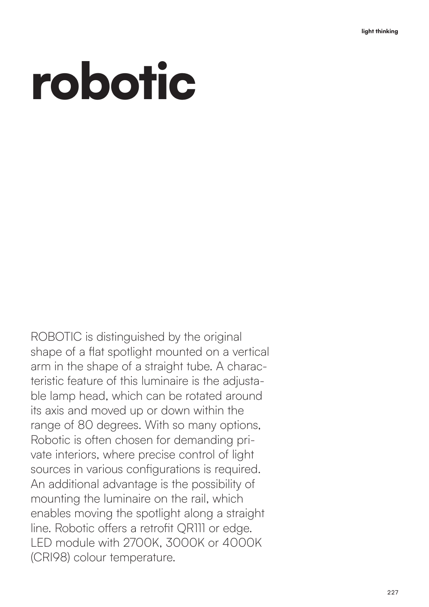## robotic

ROBOTIC is distinguished by the original shape of a flat spotlight mounted on a vertical arm in the shape of a straight tube. A characteristic feature of this luminaire is the adjustable lamp head, which can be rotated around its axis and moved up or down within the range of 80 degrees. With so many options, Robotic is often chosen for demanding private interiors, where precise control of light sources in various configurations is required. An additional advantage is the possibility of mounting the luminaire on the rail, which enables moving the spotlight along a straight line. Robotic offers a retrofit QR111 or edge. LED module with 2700K, 3000K or 4000K (CRI98) colour temperature.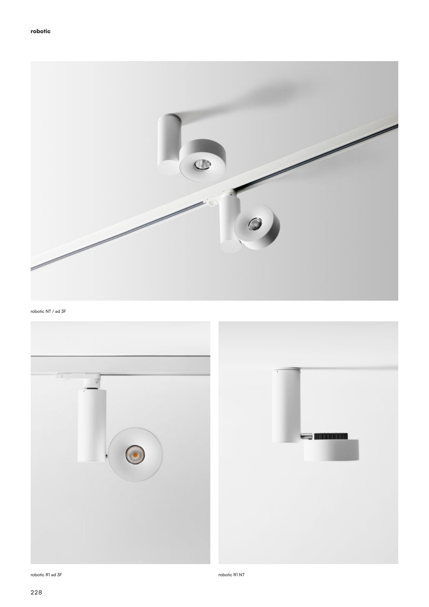

robotic NT / ad 3F



robotic R1 ad 3F robotic R1 NT